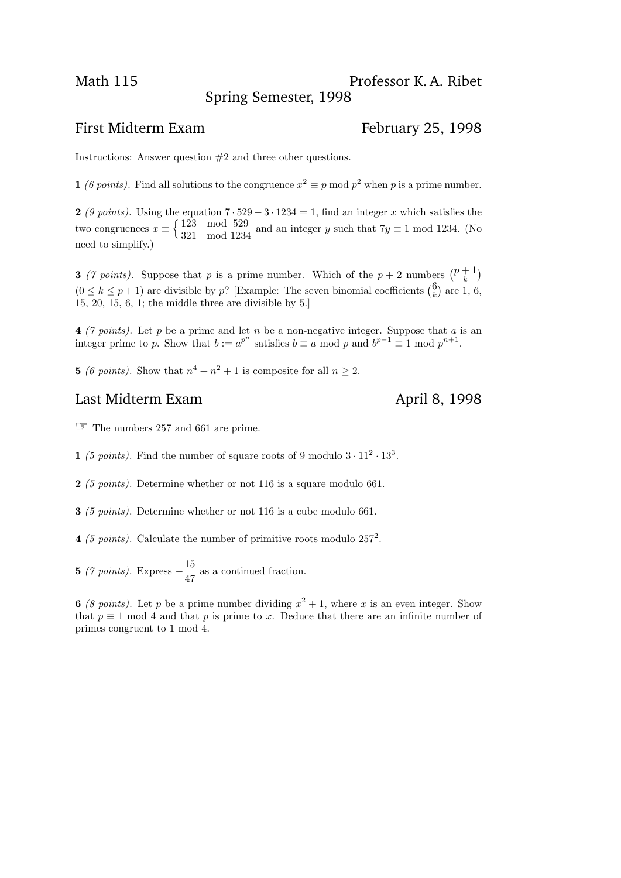## First Midterm Exam February 25, 1998

Instructions: Answer question #2 and three other questions.

1 (6 points). Find all solutions to the congruence  $x^2 \equiv p \mod p^2$  when p is a prime number.

2 (9 points). Using the equation  $7 \cdot 529 - 3 \cdot 1234 = 1$ , find an integer x which satisfies the two congruences  $x \equiv \begin{cases} 123 \mod 529 \\ 223 \mod 1232 \end{cases}$ 321 mod 1234 and an integer y such that  $7y \equiv 1 \mod 1234$ . (No need to simplify.)

**3** (7 points). Suppose that p is a prime number. Which of the  $p + 2$  numbers  $\binom{p+1}{k}$  $\binom{+1}{k}$  $(0 \le k \le p+1)$  are divisible by p? [Example: The seven binomial coefficients  $\binom{6}{k}$  $\binom{0}{k}$  are 1, 6, 15, 20, 15, 6, 1; the middle three are divisible by 5.]

4 (7 points). Let p be a prime and let n be a non-negative integer. Suppose that a is an integer prime to p. Show that  $b := a^{p^n}$  satisfies  $b \equiv a \mod p$  and  $b^{p-1} \equiv 1 \mod p^{n+1}$ .

**5** (6 points). Show that  $n^4 + n^2 + 1$  is composite for all  $n \geq 2$ .

## Last Midterm Exam April 8, 1998

☞ The numbers 257 and 661 are prime.

1 (5 points). Find the number of square roots of 9 modulo  $3 \cdot 11^2 \cdot 13^3$ .

2 (5 points). Determine whether or not 116 is a square modulo 661.

3 (5 points). Determine whether or not 116 is a cube modulo 661.

4 (5 points). Calculate the number of primitive roots modulo  $257^2$ .

**5** (7 points). Express  $-\frac{15}{45}$ 47 as a continued fraction.

6 (8 points). Let p be a prime number dividing  $x^2 + 1$ , where x is an even integer. Show that  $p \equiv 1 \mod 4$  and that p is prime to x. Deduce that there are an infinite number of primes congruent to 1 mod 4.